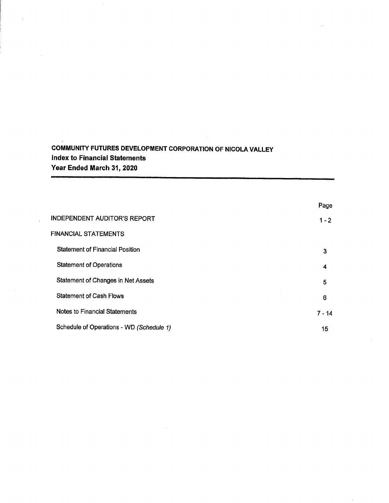# COMMuNlTY FuTURES DEVELOPMENT CORPORATION OF NICOLA VALLEY Index to Financial Statements Year Ended March 31, 2020

 $\overline{a}$ 

|                                          | Page     |
|------------------------------------------|----------|
| <b>INDEPENDENT AUDITOR'S REPORT</b>      | $1 - 2$  |
| <b>FINANCIAL STATEMENTS</b>              |          |
| <b>Statement of Financial Position</b>   | 3        |
| <b>Statement of Operations</b>           | 4        |
| Statement of Changes in Net Assets       | 5        |
| <b>Statement of Cash Flows</b>           | 6        |
| Notes to Financial Statements            | $7 - 14$ |
| Schedule of Operations - WD (Schedule 1) | 15       |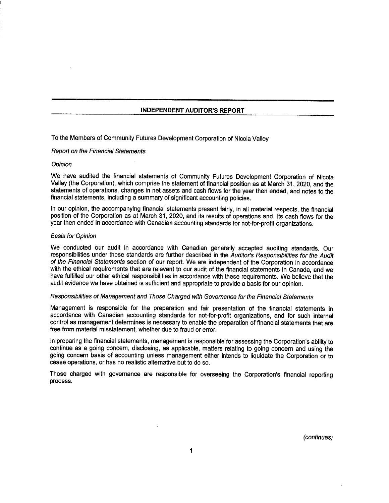# INDEPENDENT AUDITOR'S REPORT

To the Members of Community Futures Development Corporation of Nicola Valley

Report on the Financial Statements

#### **Opinion**

We have audited the financial statements of Community Futures Development Corporation of Nicola Valley (the Corporation), which comprise the statement of financial position as at March 31, 2020, and the statements of operations, changes in net assets and cash flows for the year then ended, and notes to the financial statements, including a summary of significant accounting policies.

In our opinion, the accompanying financial statements present fairly, in all material respects, the financial position of the Corporation as at March 31, 2020, and its results of operations and its cash flows for the year then ended in accordance with Canadian accounting standards for not-for-profit organizations.

#### Basis for Opinion

We conducted our audit in accordance with Canadian generally accepted auditing standards. Our responsibilities under those standards are further described in the Auditor's Responsibilities for the Audit of the Financial Statements section of our report. We are independent of the Corporation in accordance with the ethical requirements that are relevant to our audit of the financial statements in Canada, and we have fulfilled our other ethical responsibilities in accordance with these requirements. We believe that the audit evidence we have obtained is sufficient and appropriate to provide a basis for our opinion.

#### Responsibilities of Management and Those Charged with Governance for the Financial Statements

Management is responsible for the preparation and fair presentation of the financial statements in accordance with Canadian accounting standards for not-for-profit organizations, and for such internal control as management determines is necessary to enable the preparation of financial statements that are free from material misstatement, whether due to fraud or error.

In preparing the financial statements, management is responsible for assessing the Corporation's ability to continue as a going concern, disclosing, as applicable, matters relating to going concern and using the going concern basis of accounting unless management either intends to liquidate the Corporation or to cease operations, or has no realistic alternative but to do so.

Those charged with governance are responsible for overseeing the Corporation's financial reporting process.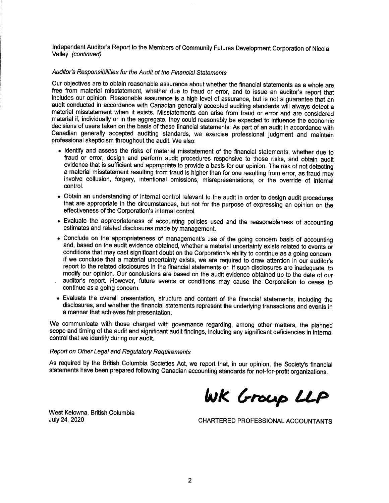Independent Auditor's Report to the Members of Community Futures Development Corporation of Nicola Valley (continued)

# Auditor's Responsibilities for the Audit of the Financial Statements

Our objectives are to obtain reasonable assurance about whether the financial statements as a whole are free from material misstatement, whether due to fraud or error, and to issue an auditor's report that includes our opinion. Reasonable assurance is a high level of assurance, but is not a guarantee that an audit conducted in accordance with Canadian generally accepted auditing standards will always detect a material misstatement when it exists. Misstatements can arise from fraud or error and are considered material if, individually or in the aggregate, they could reasonably be expected to influence the economic decisions of users taken on the basis of these financial statements. As part of an audit in accordance with Canadian generally accepted auditing standards, we exercise professional judgment and maintain professional skepticism throughout the audit. We also:

- Identify and assess the risks of material misstatement of the financial statements, whether due to fraud or error, design and perform audit procedures responsive to those risks, and obtain audit evidence that is sufficient and appropriate to provide a basis for our opinion. The risk of not detecting a material misstatement resulting from fraud is higher than for one resulting from error, as fraud may involve collusion, forgery, intentional omissions, misrepresentations, or the override of internal control.
- Obtain an understanding of internal control relevant to the audit in order to design audit procedures that are appropriate in the circumstances, but not for the purpose of expressing an opinion on the effectiveness of the Corporation's internal control.
- \* Evaluate the appropriateness of accounting policies used and the reasonableness of accounting estimates and related disclosures made by management.
- Conclude on the appropriateness of management's use of the going concern basis of accounting and, based on the audit evidence obtained, whether a material uncertainty exists related to events or conditions that may cast significant doubt on the Corporation's ability to continue as a going concern. If we conclude that a material uncertainty exists, we are required to draw attention in our auditor's report to the related disclosures in the financial statements or, if such disclosures are inadequate, to modify our opinion. Our conclusions are based on the audit evidence obtained up to the date of our auditor's report. However, future events or conditions may cause the Corporation to cease to continue as a going concern.
- Evaluate the overall presentation, structure and content of the financial statements, including the disclosures, and whether the financial statements represent the underlying transactions and events in a manner that achieves fair presentation.

We communicate with those charged with governance regarding, among other matters, the planned scope and timing of the audit and significant audit findings, including any significant deficiencies in internal control that we identify during our audit.

#### Report on Other Legal and Regulatory Requirements

As required by the British Columbia Societies Act, we report that, in our opinion, the Society's financial statements have been prepared following Canadian accounting standards for not-for-profit organizations.

WK Group LLP

West Kelowna, British Columbia<br>July 24, 2020

CHARTERED PROFESSIONAL ACCOUNTANTS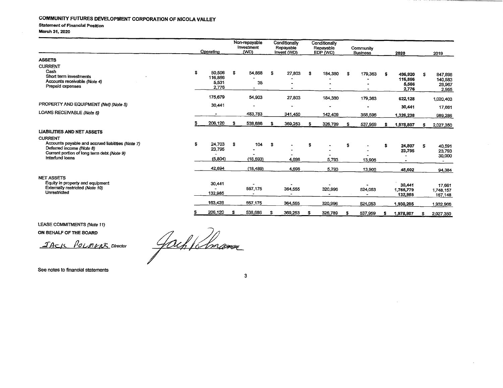#### COMMUNITY FUTURES DEVELOPMENT CORPORATION OF NICOLA VALLEY **Statement of Financial Position**

March 31, 2020

|                                                                                                                                                                  |    | Operating                   |   |                 |    |                                     |    |                         |    | Non-repayable<br>Investment<br>(WD) |    | Conditionally<br>Repayable<br>Invest (WD) |   | Conditionally<br>Repayable<br>EDP (WD) |  | Community<br><b>Business</b> |  | 2020 |  | 2019 |
|------------------------------------------------------------------------------------------------------------------------------------------------------------------|----|-----------------------------|---|-----------------|----|-------------------------------------|----|-------------------------|----|-------------------------------------|----|-------------------------------------------|---|----------------------------------------|--|------------------------------|--|------|--|------|
| <b>ASSETS</b><br><b>CURRENT</b><br>Cash                                                                                                                          | s. | 50,506                      | S | 54,868          | s  | 27,803                              | \$ | 184,380                 | £. | 179,363                             |    |                                           |   |                                        |  |                              |  |      |  |      |
| Short term investments<br>Accounts receivable (Note 4)<br>Prepaid expenses                                                                                       |    | 116,866<br>5,531<br>2,776   |   | 35              |    |                                     |    |                         |    |                                     | \$ | 496,920<br>116,866<br>5,566<br>2,776      | S | 847,898<br>140,583<br>28,967<br>2,955  |  |                              |  |      |  |      |
|                                                                                                                                                                  |    | 175,679                     |   | 54,903          |    | 27,803                              |    | 184,380                 |    | 179,363                             |    | 622.128                                   |   | 1,020,403                              |  |                              |  |      |  |      |
| PROPERTY AND EQUIPMENT (Net) (Note 5)                                                                                                                            |    | 30,441                      |   |                 |    | $\overline{\phantom{a}}$            |    | ۰                       |    |                                     |    | 30,441                                    |   | 17,661                                 |  |                              |  |      |  |      |
| LOANS RECEIVABLE (Note 6)                                                                                                                                        |    |                             |   | 483,783         |    | 341,450                             |    | 142,409                 |    | 358,596                             |    | 1,326,238                                 |   | 989.286                                |  |                              |  |      |  |      |
|                                                                                                                                                                  |    | 206,120                     | s | 538,686         | £. | 369,253                             | s  | 326,789                 | S. | 537,959                             | s  | 1,978,807                                 | s | 2,027,350                              |  |                              |  |      |  |      |
| <b>LIABILITIES AND NET ASSETS</b>                                                                                                                                |    |                             |   |                 |    |                                     |    |                         |    |                                     |    |                                           |   |                                        |  |                              |  |      |  |      |
| <b>CURRENT</b><br>Accounts payable and accrued liabilities (Note 7)<br>Deferred income (Note 8)<br>Current portion of long term debt (Note 9)<br>Interfund Ioans | \$ | 24,703<br>23,795<br>(5.804) | s | 104<br>(18,593) | \$ | 4,698                               | S  | $\blacksquare$<br>5,793 | \$ | $\overline{a}$<br>13,906            | \$ | 24,807<br>23,795                          | s | 40 591<br>23,793<br>30,000             |  |                              |  |      |  |      |
|                                                                                                                                                                  |    | 42,694                      |   | (18, 489)       |    | 4,698                               |    | 5,793                   |    | 13,906                              |    | 48,602                                    |   | 94,384                                 |  |                              |  |      |  |      |
| <b>NET ASSETS</b><br>Equity in property and equipment<br>Externally restricted (Note 10)<br>Unrestricted                                                         |    | 30,441<br>132,985           |   | 557,175         |    | 364,555<br>$\overline{\phantom{0}}$ |    | 320,996                 |    | 524,053                             |    | 30,441<br>1,766,779<br>132,985            |   | 17,661<br>1,748,157<br>167,148         |  |                              |  |      |  |      |
|                                                                                                                                                                  |    | 163,426                     |   | 557,175         |    | 364,555                             |    | 320,996                 |    | 524,053                             |    | 1,930,205                                 |   | 1,932,966                              |  |                              |  |      |  |      |
|                                                                                                                                                                  | s  | 206,120                     | s | 538,686         | s  | 369,253                             | S  | 326,789                 | S  | 537.959                             |    | 1.978.807                                 |   | 2.027.350                              |  |                              |  |      |  |      |

 $\ddot{\mathbf{3}}$ 

LEASE COMMITMENTS (Note 11) ON BEHALF OF THE BOARD

JACK POLMAR Director

See notes to financial statements

Jack Chnama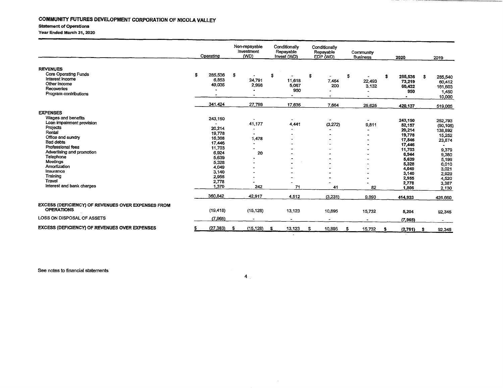#### **Statement of Operations**

Year Ended March 31, 2020

|                                                                                                                                                                                                                                                                                              | Operating                                                                                                                                    |      | Non-repayable<br>Investment<br>(WD)                      |    | Conditionally<br>Repayable<br>Invest (WD) |   | Conditionally<br>Repayable<br>EDP (WD)                                |   | Community<br><b>Business</b>                     |    | 2020                                                                                                                                                              |     | 2019                                                                                                                                                       |
|----------------------------------------------------------------------------------------------------------------------------------------------------------------------------------------------------------------------------------------------------------------------------------------------|----------------------------------------------------------------------------------------------------------------------------------------------|------|----------------------------------------------------------|----|-------------------------------------------|---|-----------------------------------------------------------------------|---|--------------------------------------------------|----|-------------------------------------------------------------------------------------------------------------------------------------------------------------------|-----|------------------------------------------------------------------------------------------------------------------------------------------------------------|
| <b>REVENUES</b><br><b>Core Operating Funds</b><br>Interest income<br>Other income<br>Recoveries<br>Program contributions                                                                                                                                                                     | \$<br>285,536<br>6,853<br>49,035<br>341,424                                                                                                  | S.   | 24,791<br>2,998<br>27,789                                | s  | 11,618<br>5,067<br>950<br>17,635          | S | $\sim$<br>7,464<br>200<br>$\blacksquare$<br>7,664                     | s | $\overline{\phantom{a}}$<br>22,493<br>3,132      | \$ | 285,536<br>73,219<br>60,432<br>950                                                                                                                                | s.  | 285,540<br>60,412<br>161,603<br>1,450<br>10,000                                                                                                            |
| <b>EXPENSES</b><br>Wages and benefits<br>Loan impairment provision<br>Projects<br>Rental<br>Office and sundry<br><b>Bad debts</b><br>Professional fees<br>Advertising and promotion<br>Telephone<br>Meetings<br>Amortization<br>Insurance<br>Training<br>Travel<br>interest and bank charges | 243,150<br>20,214<br>19,778<br>16,368<br>17,446<br>11,703<br>6,924<br>5,639<br>5,328<br>4,049<br>3,140<br>2,955<br>2,778<br>1,370<br>360,842 |      | 41,177<br>1,478<br>$\blacksquare$<br>20<br>242<br>42,917 |    | 4,441<br>71<br>4,512                      |   | $\overline{\phantom{a}}$<br>(3,272)<br>$\rightarrow$<br>41<br>(3,231) |   | 25.625<br>9,811<br>$\blacksquare$<br>82<br>9,893 |    | 420,137<br>243,150<br>52,157<br>20,214<br>19,778<br>17,846<br>17,446<br>11,703<br>6,944<br>5,639<br>5,328<br>4,049<br>3,140<br>2,955<br>2,778<br>1,806<br>414,933 |     | 519,005<br>252,793<br>(50, 106)<br>138,892<br>15,252<br>23,874<br>9,379<br>9,380<br>5,199<br>6,010<br>3,021<br>2,929<br>4,520<br>3,387<br>2.130<br>426,660 |
| EXCESS (DEFICIENCY) OF REVENUES OVER EXPENSES FROM<br><b>OPERATIONS</b><br>LOSS ON DISPOSAL OF ASSETS                                                                                                                                                                                        | (19, 418)                                                                                                                                    |      | (15, 128)                                                |    | 13,123                                    |   | 10,895                                                                |   | 15,732                                           |    | 5,204                                                                                                                                                             |     | 92,345                                                                                                                                                     |
| <b>EXCESS (DEFICIENCY) OF REVENUES OVER EXPENSES</b>                                                                                                                                                                                                                                         | (7,965)<br>(27, 383)                                                                                                                         | - \$ | $\hat{\phantom{a}}$<br>(15, 128)                         | -5 | $\overline{\phantom{a}}$<br>13,123        | S | ۰<br>10,895                                                           | S | $\blacksquare$<br>15,732                         | s  | (7, 965)<br>(2,761)                                                                                                                                               | - 3 | $\sim$<br>92,345                                                                                                                                           |

See notes to financial statements

 $\sim$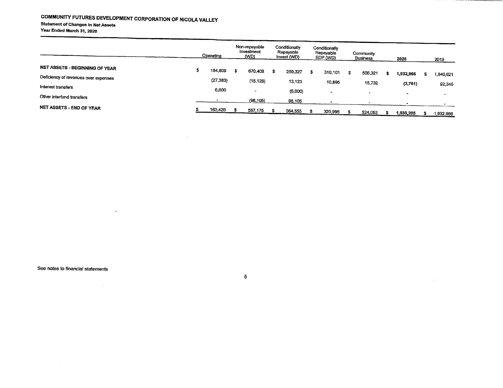# COMMUNITY FUTURES DEVELOPMENT CORPORATION OF NICOLA VALLEY Statement of Changes in Net Assets Year Ended March 31, 2020

 $\sim$ 

 $\mathcal{L}^{\text{max}}_{\text{max}}$ 

|                                       | Operating |   | Non-repayable<br>Investment<br>(WD) |   | Conditionally<br>Repayable<br>Invest (WD) | Conditionally<br>Repayable<br>EDP (WD) | Community<br><b>Business</b> | 2020      | 2019                     |
|---------------------------------------|-----------|---|-------------------------------------|---|-------------------------------------------|----------------------------------------|------------------------------|-----------|--------------------------|
| <b>NET ASSETS - BEGINNING OF YEAR</b> | 184,809   | s | 670,408                             | S | 259,327                                   | 310,101                                | 508,321                      |           |                          |
| Deficiency of revenues over expenses  | (27, 383) |   | (15, 128)                           |   | 13.123                                    |                                        |                              | 1,932,966 | 1,840,621                |
| Interest transfers                    |           |   |                                     |   |                                           | 10,895                                 | 15,732                       | (2,761)   | 92,345                   |
| Other interfund transfers             | 6,000     |   | -                                   |   | (6,000)                                   | $\overline{\phantom{0}}$               | $\overline{\phantom{a}}$     | -         | $\overline{\phantom{a}}$ |
|                                       |           |   | (98, 105)                           |   | 98,105                                    |                                        |                              |           |                          |
| NET ASSETS - END OF YEAR              | 163,426   |   | 557,175                             |   | 364,555                                   | 320,996                                | 524,053                      | 1,930,205 | 1,932,966                |

 $\sim$ 

See notes to financial statements

 $\mathcal{L}^{\mathcal{L}}$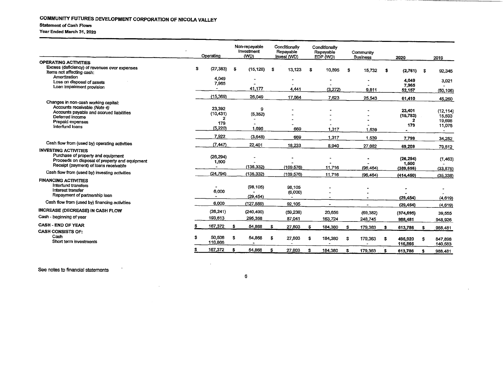#### COMMUNITY FUTURES DEVELOPMENT CORPORATION OF NICOLA VALLEY **Statement of Cash Flows** Year Ended March 31, 2020

| Excess (deficiency) of revenues over expenses<br>\$<br>(27, 383)<br>\$<br>(15, 128)<br>\$<br>13,123<br>10,895<br>\$<br>S<br>15,732<br>-\$<br>(2,761)<br>\$<br>92,345<br>Items not affecting cash:<br>Amortization<br>4,049<br>4,049<br>3,021<br>Loss on disposal of assets<br>7,965<br>7,965<br>Loan impairment provision<br>41,177<br>4,441<br>(3,272)<br>9,811<br>52,157<br>(50, 106)<br>(15,369)<br>26,049<br>17.564<br>7,623<br>25.543<br>61,410<br>45,260<br>Changes in non-cash working capital:<br>Accounts receivable (Note 4)<br>23,392<br>9<br>23,401<br>(12, 114)<br>Accounts payable and accrued liabilities<br>(10, 431)<br>(5, 352)<br>(15, 783)<br>15,593<br>Deferred income<br>19,698<br>2<br>Prepaid expenses<br>179<br>179<br>11,075<br>Interfund Ioans<br>(5,220)<br>1.695<br>669<br>1.317<br>1,539<br>$\sim$<br>7.922<br>(3,648)<br>669<br>1,317<br>1,539<br>7,799<br>34,252<br>Cash flow from (used by) operating activities<br>(7, 447)<br>22,401<br>18,233<br>8.940<br>27.082<br>69,209<br>79,512<br>Purchase of property and equipment<br>(26, 294)<br>(26, 294)<br>Proceeds on disposal of property and equipment<br>1,500<br>1,500<br>Receipt (payment) of loans receivable<br>(135, 332)<br>(169, 576)<br>11,716<br>(96, 464)<br>(389, 656)<br>(33, 875)<br>Cash flow from (used by) investing activities<br>(24, 794)<br>(135, 332)<br>(169, 576)<br>11,716<br>(96.464)<br>(414, 450)<br>(35, 338)<br>Interfund transfers<br>(98, 105)<br>98,105<br>٠<br>Interest transfer<br>6,000<br>(6,000)<br>Repayment of partnership loan<br>(29, 454)<br>(29, 454)<br>(4, 619)<br>Cash flow from (used by) financing activities<br>6.000<br>(127.559)<br>92,105<br>(29, 454)<br>(4, 619)<br>$\overline{\phantom{a}}$<br>(26, 241)<br>(240, 490)<br>(59, 238)<br>20,656<br>(69, 382)<br>(374, 695)<br>39,555<br>193,613<br>295,358<br>87.041<br>163,724<br>248,745<br>988,481<br>948.926<br>167,372<br>s<br>54,868<br>-S<br>27,803<br>\$<br>184,380<br>- 3<br>179,363<br>613,786<br>s<br>\$<br>988.481<br>Cash<br>50,506<br>s<br>54,868<br>27,803<br>\$<br>184,380<br>\$<br>s<br>179,363<br>s<br>496,920<br>s<br>847,898<br>Short term investments<br>116,866<br>116,866<br>140,583<br>167,372<br>s<br>54,868<br>27,803<br>184,380<br>s<br>\$<br>s<br>\$<br>179,363<br>613,786<br>988,481<br>£. |                                  | Operating | Non-repayable<br>Investment<br>(WD) | Conditionally<br>Repayable<br>Invest (WD) | Conditionally<br>Repayable<br>EDP (WD) | Community<br><b>Business</b> | 2020 | 2019    |
|-------------------------------------------------------------------------------------------------------------------------------------------------------------------------------------------------------------------------------------------------------------------------------------------------------------------------------------------------------------------------------------------------------------------------------------------------------------------------------------------------------------------------------------------------------------------------------------------------------------------------------------------------------------------------------------------------------------------------------------------------------------------------------------------------------------------------------------------------------------------------------------------------------------------------------------------------------------------------------------------------------------------------------------------------------------------------------------------------------------------------------------------------------------------------------------------------------------------------------------------------------------------------------------------------------------------------------------------------------------------------------------------------------------------------------------------------------------------------------------------------------------------------------------------------------------------------------------------------------------------------------------------------------------------------------------------------------------------------------------------------------------------------------------------------------------------------------------------------------------------------------------------------------------------------------------------------------------------------------------------------------------------------------------------------------------------------------------------------------------------------------------------------------------------------------------------------------------------------------------------------------------------------------------------------------------------|----------------------------------|-----------|-------------------------------------|-------------------------------------------|----------------------------------------|------------------------------|------|---------|
|                                                                                                                                                                                                                                                                                                                                                                                                                                                                                                                                                                                                                                                                                                                                                                                                                                                                                                                                                                                                                                                                                                                                                                                                                                                                                                                                                                                                                                                                                                                                                                                                                                                                                                                                                                                                                                                                                                                                                                                                                                                                                                                                                                                                                                                                                                                   | <b>OPERATING ACTIVITIES</b>      |           |                                     |                                           |                                        |                              |      |         |
|                                                                                                                                                                                                                                                                                                                                                                                                                                                                                                                                                                                                                                                                                                                                                                                                                                                                                                                                                                                                                                                                                                                                                                                                                                                                                                                                                                                                                                                                                                                                                                                                                                                                                                                                                                                                                                                                                                                                                                                                                                                                                                                                                                                                                                                                                                                   |                                  |           |                                     |                                           |                                        |                              |      |         |
|                                                                                                                                                                                                                                                                                                                                                                                                                                                                                                                                                                                                                                                                                                                                                                                                                                                                                                                                                                                                                                                                                                                                                                                                                                                                                                                                                                                                                                                                                                                                                                                                                                                                                                                                                                                                                                                                                                                                                                                                                                                                                                                                                                                                                                                                                                                   |                                  |           |                                     |                                           |                                        |                              |      |         |
|                                                                                                                                                                                                                                                                                                                                                                                                                                                                                                                                                                                                                                                                                                                                                                                                                                                                                                                                                                                                                                                                                                                                                                                                                                                                                                                                                                                                                                                                                                                                                                                                                                                                                                                                                                                                                                                                                                                                                                                                                                                                                                                                                                                                                                                                                                                   |                                  |           |                                     |                                           |                                        |                              |      |         |
|                                                                                                                                                                                                                                                                                                                                                                                                                                                                                                                                                                                                                                                                                                                                                                                                                                                                                                                                                                                                                                                                                                                                                                                                                                                                                                                                                                                                                                                                                                                                                                                                                                                                                                                                                                                                                                                                                                                                                                                                                                                                                                                                                                                                                                                                                                                   |                                  |           |                                     |                                           |                                        |                              |      |         |
|                                                                                                                                                                                                                                                                                                                                                                                                                                                                                                                                                                                                                                                                                                                                                                                                                                                                                                                                                                                                                                                                                                                                                                                                                                                                                                                                                                                                                                                                                                                                                                                                                                                                                                                                                                                                                                                                                                                                                                                                                                                                                                                                                                                                                                                                                                                   |                                  |           |                                     |                                           |                                        |                              |      |         |
|                                                                                                                                                                                                                                                                                                                                                                                                                                                                                                                                                                                                                                                                                                                                                                                                                                                                                                                                                                                                                                                                                                                                                                                                                                                                                                                                                                                                                                                                                                                                                                                                                                                                                                                                                                                                                                                                                                                                                                                                                                                                                                                                                                                                                                                                                                                   |                                  |           |                                     |                                           |                                        |                              |      |         |
|                                                                                                                                                                                                                                                                                                                                                                                                                                                                                                                                                                                                                                                                                                                                                                                                                                                                                                                                                                                                                                                                                                                                                                                                                                                                                                                                                                                                                                                                                                                                                                                                                                                                                                                                                                                                                                                                                                                                                                                                                                                                                                                                                                                                                                                                                                                   |                                  |           |                                     |                                           |                                        |                              |      |         |
|                                                                                                                                                                                                                                                                                                                                                                                                                                                                                                                                                                                                                                                                                                                                                                                                                                                                                                                                                                                                                                                                                                                                                                                                                                                                                                                                                                                                                                                                                                                                                                                                                                                                                                                                                                                                                                                                                                                                                                                                                                                                                                                                                                                                                                                                                                                   |                                  |           |                                     |                                           |                                        |                              |      |         |
|                                                                                                                                                                                                                                                                                                                                                                                                                                                                                                                                                                                                                                                                                                                                                                                                                                                                                                                                                                                                                                                                                                                                                                                                                                                                                                                                                                                                                                                                                                                                                                                                                                                                                                                                                                                                                                                                                                                                                                                                                                                                                                                                                                                                                                                                                                                   |                                  |           |                                     |                                           |                                        |                              |      |         |
|                                                                                                                                                                                                                                                                                                                                                                                                                                                                                                                                                                                                                                                                                                                                                                                                                                                                                                                                                                                                                                                                                                                                                                                                                                                                                                                                                                                                                                                                                                                                                                                                                                                                                                                                                                                                                                                                                                                                                                                                                                                                                                                                                                                                                                                                                                                   |                                  |           |                                     |                                           |                                        |                              |      |         |
|                                                                                                                                                                                                                                                                                                                                                                                                                                                                                                                                                                                                                                                                                                                                                                                                                                                                                                                                                                                                                                                                                                                                                                                                                                                                                                                                                                                                                                                                                                                                                                                                                                                                                                                                                                                                                                                                                                                                                                                                                                                                                                                                                                                                                                                                                                                   |                                  |           |                                     |                                           |                                        |                              |      |         |
|                                                                                                                                                                                                                                                                                                                                                                                                                                                                                                                                                                                                                                                                                                                                                                                                                                                                                                                                                                                                                                                                                                                                                                                                                                                                                                                                                                                                                                                                                                                                                                                                                                                                                                                                                                                                                                                                                                                                                                                                                                                                                                                                                                                                                                                                                                                   | <b>INVESTING ACTIVITIES</b>      |           |                                     |                                           |                                        |                              |      | (1,463) |
|                                                                                                                                                                                                                                                                                                                                                                                                                                                                                                                                                                                                                                                                                                                                                                                                                                                                                                                                                                                                                                                                                                                                                                                                                                                                                                                                                                                                                                                                                                                                                                                                                                                                                                                                                                                                                                                                                                                                                                                                                                                                                                                                                                                                                                                                                                                   |                                  |           |                                     |                                           |                                        |                              |      |         |
|                                                                                                                                                                                                                                                                                                                                                                                                                                                                                                                                                                                                                                                                                                                                                                                                                                                                                                                                                                                                                                                                                                                                                                                                                                                                                                                                                                                                                                                                                                                                                                                                                                                                                                                                                                                                                                                                                                                                                                                                                                                                                                                                                                                                                                                                                                                   | <b>FINANCING ACTIVITIES</b>      |           |                                     |                                           |                                        |                              |      |         |
|                                                                                                                                                                                                                                                                                                                                                                                                                                                                                                                                                                                                                                                                                                                                                                                                                                                                                                                                                                                                                                                                                                                                                                                                                                                                                                                                                                                                                                                                                                                                                                                                                                                                                                                                                                                                                                                                                                                                                                                                                                                                                                                                                                                                                                                                                                                   |                                  |           |                                     |                                           |                                        |                              |      |         |
|                                                                                                                                                                                                                                                                                                                                                                                                                                                                                                                                                                                                                                                                                                                                                                                                                                                                                                                                                                                                                                                                                                                                                                                                                                                                                                                                                                                                                                                                                                                                                                                                                                                                                                                                                                                                                                                                                                                                                                                                                                                                                                                                                                                                                                                                                                                   | INCREASE (DECREASE) IN CASH FLOW |           |                                     |                                           |                                        |                              |      |         |
|                                                                                                                                                                                                                                                                                                                                                                                                                                                                                                                                                                                                                                                                                                                                                                                                                                                                                                                                                                                                                                                                                                                                                                                                                                                                                                                                                                                                                                                                                                                                                                                                                                                                                                                                                                                                                                                                                                                                                                                                                                                                                                                                                                                                                                                                                                                   | Cash - beginning of year         |           |                                     |                                           |                                        |                              |      |         |
|                                                                                                                                                                                                                                                                                                                                                                                                                                                                                                                                                                                                                                                                                                                                                                                                                                                                                                                                                                                                                                                                                                                                                                                                                                                                                                                                                                                                                                                                                                                                                                                                                                                                                                                                                                                                                                                                                                                                                                                                                                                                                                                                                                                                                                                                                                                   | <b>CASH - END OF YEAR</b>        |           |                                     |                                           |                                        |                              |      |         |
|                                                                                                                                                                                                                                                                                                                                                                                                                                                                                                                                                                                                                                                                                                                                                                                                                                                                                                                                                                                                                                                                                                                                                                                                                                                                                                                                                                                                                                                                                                                                                                                                                                                                                                                                                                                                                                                                                                                                                                                                                                                                                                                                                                                                                                                                                                                   | <b>CASH CONSISTS OF:</b>         |           |                                     |                                           |                                        |                              |      |         |
|                                                                                                                                                                                                                                                                                                                                                                                                                                                                                                                                                                                                                                                                                                                                                                                                                                                                                                                                                                                                                                                                                                                                                                                                                                                                                                                                                                                                                                                                                                                                                                                                                                                                                                                                                                                                                                                                                                                                                                                                                                                                                                                                                                                                                                                                                                                   |                                  |           |                                     |                                           |                                        |                              |      |         |
|                                                                                                                                                                                                                                                                                                                                                                                                                                                                                                                                                                                                                                                                                                                                                                                                                                                                                                                                                                                                                                                                                                                                                                                                                                                                                                                                                                                                                                                                                                                                                                                                                                                                                                                                                                                                                                                                                                                                                                                                                                                                                                                                                                                                                                                                                                                   |                                  |           |                                     |                                           |                                        |                              |      |         |

See notes to financial statements

 $\,$  6  $\,$ 

 $\ddot{\phantom{a}}$ 

 $\sim$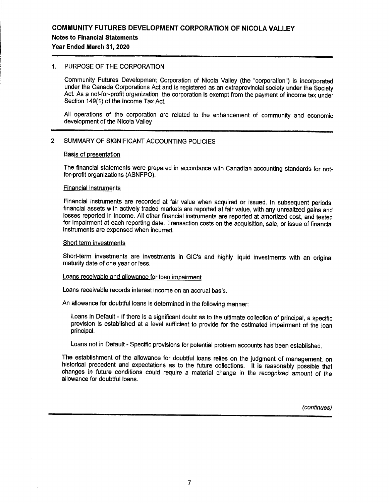#### Notes to Financial Statements

Year Ended March 31, 2020

# 1. PURPOSE OF THE CORPORATION

Community Futures Development Corporation of Nicola Valley (the "corporation") is incorporated under the Canada Corporations Act and is registered as an extraprovincial society under the Society Act. As a not-for-profit organization, the corporation is exempt from the payment of income tax under Section 149(1) of the Income Tax Act.

All operations of the corporation are related to the enhancement of community and economic development of the Nicola Valley

## 2. SUMMARY OF SIGNIFICANT ACCOUNTING POLICIES

#### Basis of presentation

The financial statements were prepared in accordance with Canadian accounting standards for notfor-profit organizations (ASNFPO).

#### Financial instruments

Financial instruments are recorded at fair value when acquired or issued. In subsequent periods, financial assets with actively traded markets are reported at fair value, with any unrealized gains and losses reported in income. All other financial instruments are reported at amortized cost, and tested for impairment at each reporting date. Transaction costs on the acquisition, sale, or issue of financial instruments are expensed when incurred.

#### Short term investments

Short-term investments are investments in GIC's and highly liquid investments with an original maturity date of one year or less.

## Loans receivable and allowance for loan impairment

Loans receivable records interest income on an accrual basis.

An allowance for doubtful loans is determined in the following manner:

Loans in Default - If there is a significant doubt as to the ultimate collection of principal, a specific provision is established at a level sufficient to provide for the estimated impairment of the loan principal.

Loans not in Default - Specific provisions for potential problem accounts has been established.

The establishment of the allowance for doubtful loans relies on the judgment of management, on historical precedent and expectations as to the future collections. It is reasonably possible that changes in future conditions could require a material change in the recognized amount of the allowance for doubtful loans.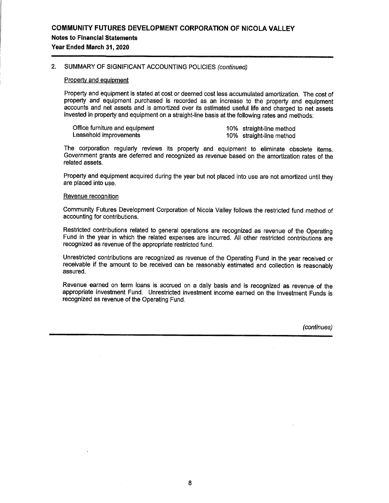# Notes to Financial Statements

Year Ended March 31, 2020

# 2. SUMMARY OF SIGNIFICANT ACCOUNTING POLICIES (continued)

#### Property and equipment

Property and equipment is stated at cost or deemed cost less accumulated amortization. The cost of property and equipment purchased is recorded as an increase to the property and equipment accounts and net assets and is amortized over its estimated useful life and charged to net assets invested in property and equipment on a straight-line basis at the following rates and methods:

| Office furniture and equipment | 10% straight-line method |
|--------------------------------|--------------------------|
| Leasehold improvements         | 10% straight-line method |

The corporation regularly reviews its property and equipment to eliminate obsolete items. Government grants are deferred and recognized as revenue based on the amortization rates of the related assets.

Property and equipment acquired during the year but not placed into use are not amortized until they are placed into use.

#### Revenue recoqnition

Community Futures Development Corporation of Nicola Valley follows the restricted fund method of accounting for contributions.

Restricted contributions related to general operations are recognized as revenue of the Operating Fund in the year in which the related expenses are incurred. All other restricted contributions are recognized as revenue of the appropriate restricted fund.

Unrestricted contributions are recognized as revenue of the Operating Fund in the year received or receivable if the amount to be received can be reasonably estimated and collection is reasonably assured.

Revenue earned on term loans is accrued on a daily basis and is recognized as revenue of the appropriate Investment Fund. Unrestricted investment income earned on the Investment Funds is recognized as revenue of the Operating Fund.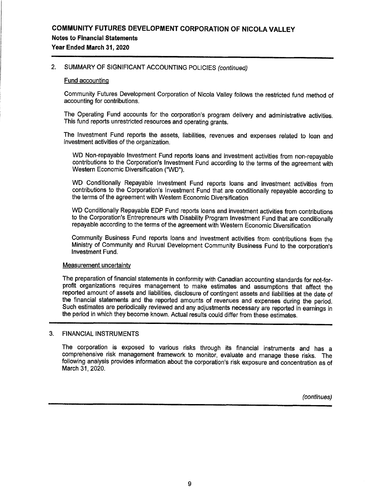# Notes to Financial Statements

# Year Ended March 31, 2020

# 2. SUMMARY OF SIGNIFICANT ACCOUNTING POLICIES (continued)

## Fund accountinq

Community Futures Development Corporation of Nicola Valley follows the restricted fund method of accounting for contributions.

The Operating Fund accounts for the corporation's program delivery and administrative activities. This fund reports unrestricted resources and operating grants.

The Investment Fund reports the assets, liabilities, revenues and expenses related to loan and investment activities of the organization.

WD Non-repayable Investment Fund reports loans and investment activities from non-repayable contributions to the Corporation's Investment Fund according to the terms of the agreement with Western Economic Diversification ("WD").

WD Conditionally Repayable Investment Fund reports loans and investment activities from contributions to the Corporation's Investment Fund that are conditionally repayable according to the terms of the agreement with Western Economic Diversification

WD Conditionally Repayable EDP Fund reports loans and investment activities from contributions to the Corporation's Entrepreneurs with Disability Program Investment Fund that are conditionally repayable according to the terms of the agreement with Western Economic Diversification

Community Business Fund reports loans and investment activities from contributions from the Ministry of Community and Rurual Development Community Business Fund to the corporation's Investment Fund.

#### Measurement uncertainty

The preparation of financial statements in conformity with Canadian accounting standards for not-forprofit organizations requires management to make estimates and assumptions that affect the reported amount of assets and liabilities, disclosure of contingent assets and liabilities at the date of the financial statements and the reported amounts of revenues and expenses during the period. Such estimates are periodically reviewed and any adjustments necessary are reported in earnings in the period in which they become known. Actual results could differ from these estimates.

# 3. FINANCIAL INSTRUMENTS

The corporation is exposed to various risks through its financial instruments and has a comprehensive risk management framework to monitor, evaluate and manage these risks. The following analysis provides information about the corporation's risk exposure and concentration as of March 31, 2020.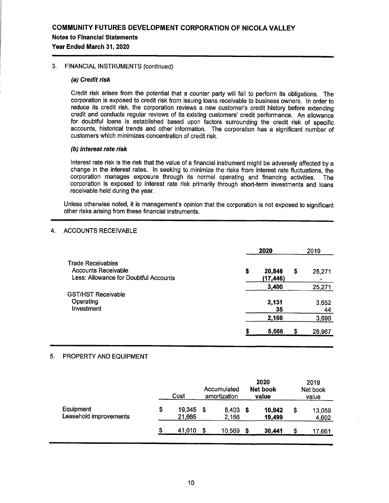# Notes to Financial Statements

Year Ended March 31, 2020

# 3. FINANCIAL INSTRUMENTS (continued)

#### (a) Credit risk

Credit risk arises from the potential that a counter party will fail to perform its obligations. The corporation is exposed to credit risk from issuing loans receivable to business owners. In order to reduce its credit risk, the corporation reviews a new customer's credit history before extending credit and conducts regular reviews of its existing customers' credit performance. An allowance for doubtful loans is established based upon factors surrounding the credit risk of specific accounts, historical trends and other information. The corporation has a significant number of customers which minimizes concentration of credit risk.

#### (b) Interest rate risk

Interest rate risk is the risk that the value of a financial instrument might be adversely affected by a change in the interest rates. In seeking to minimize the risks from interest rate fluctuations, the corporation manages exposure through its normal operating and financing activities. The corporation is exposed to interest rate risk primarily through short-term investments and loans receivable held during the year.

Unless otherwise noted, it is management's opinion that the corporation is not exposed to significant other risks arising from these financial instruments.

# 4. ACCOUNTS RECEIVABLE

|                                                                                                 |    | 2020                |    |        |  |  |  |
|-------------------------------------------------------------------------------------------------|----|---------------------|----|--------|--|--|--|
| <b>Trade Receivables</b><br><b>Accounts Receivable</b><br>Less: Allowance for Doubtful Accounts | \$ | 20,846<br>(17, 446) | \$ | 25,271 |  |  |  |
|                                                                                                 |    | 3,400               |    | 25,271 |  |  |  |
| <b>GST/HST Receivable</b>                                                                       |    |                     |    |        |  |  |  |
| Operating                                                                                       |    | 2,131               |    | 3,652  |  |  |  |
| Investment                                                                                      |    | 35                  |    | 44     |  |  |  |
|                                                                                                 |    | 2,166               |    | 3,696  |  |  |  |
|                                                                                                 | S  | 5,566               | \$ | 28,967 |  |  |  |

# 5. PROPERTY AND EQUIPMENT

|                                     |    | Cost             |   | Accumulated<br>amortization |   | 2020<br>Net book<br>value | 2019<br>Net book<br>value |                 |  |
|-------------------------------------|----|------------------|---|-----------------------------|---|---------------------------|---------------------------|-----------------|--|
| Equipment<br>Leasehold improvements | \$ | 19,345<br>21,665 | S | 8,403<br>2,166              | S | 10,942<br>19,499          | \$                        | 13,059<br>4,602 |  |
|                                     | S  | 41.010           | S | 10.569                      |   | 30,441                    | S                         | 17,661          |  |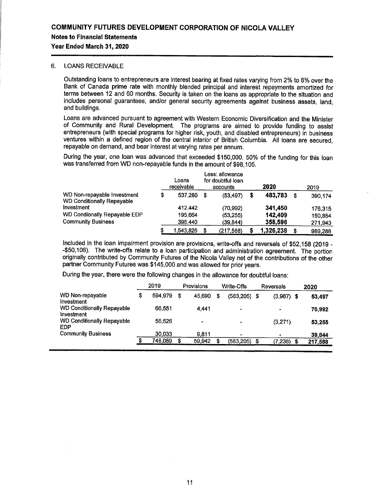#### Notes to Financial Statements

#### Year Ended March 31, 2020

#### 6. LOANS RECEIVABLE

Outstanding loans to entrepreneurs are interest bearing at fixed rates varying from 2% to 8% over the Bank of Canada prime rate with monthly blended principal and interest repayments amortized for terms between 12 and 60 months. Security is taken on the loans as appropriate to the situation and includes personal guarantees, and/or general security agreements against business assets, land, and buildings.

Loans are advanced pursuant to agreement with Western Economic Diversification and the Minister of Community and Rural Development. The programs are aimed to provide funding to assist entrepreneurs (with special programs for higher risk, youth, and disabled entrepreneurs) in business ventures within a defined region of the central interior of British Columbia. All loans are secured, repayable on demand, and bear interest at varying rates per annum.

During the year, one loan was advanced that exceeded \$150,000. 50% of the funding for this loan was transferred from WD non-repayable funds in the amount of \$98,105.

|                                                                  | Loans<br>receivable | Less: allowance<br>for doubtful loan<br>accounts | 2020          |    | 2019    |
|------------------------------------------------------------------|---------------------|--------------------------------------------------|---------------|----|---------|
| WD Non-repayable Investment<br><b>WD Conditionally Repayable</b> | \$<br>537.280       | \$<br>(53.497)                                   | \$<br>483,783 | S  | 390.174 |
| Investment                                                       | 412.442             | (70, 992)                                        | 341.450       |    | 176,315 |
| WD Condionally Repayable EDP                                     | 195.664             | (53, 255)                                        | 142,409       |    | 150.854 |
| <b>Community Business</b>                                        | 398,440             | (39, 844)                                        | 358,596       |    | 271,943 |
|                                                                  | 1,543,826           | (217.588)                                        | 1,326,238     | \$ | 989,286 |

Included in the loan impairment provision are provisions, write-offs and reversals of \$52,158 (2019 - -\$50,106). The write-offs relate to a loan participation and administration agreement. The portion originally contributed by Community Futures of the Nicola Valley net of the contributions of the other partner Community Futures was \$145,000 and was allowed for prior years.

During the year, there were the following changes in the allowance for doubtful loans:

|                                                 | 2019          | Provisions     |   | Write-Offs     |    | Reversals    | 2020    |
|-------------------------------------------------|---------------|----------------|---|----------------|----|--------------|---------|
| WD Non-repayable<br>Investment                  | \$<br>594.979 | \$<br>45.690   | S | (583.205)      | -S | $(3.967)$ \$ | 53,497  |
| <b>WD Conditionally Repayable</b><br>Investment | 66,551        | 4.441          |   | $\blacksquare$ |    | $\bullet$    | 70.992  |
| <b>WD Conditionally Repayable</b><br>EDP        | 56,526        | $\blacksquare$ |   | $\blacksquare$ |    | (3,271)      | 53,255  |
| <b>Community Business</b>                       | 30,033        | 9,811          |   | $\blacksquare$ |    | $\bullet$    | 39,844  |
|                                                 | 748,089       | 59.942         | S | (583, 205)     | \$ | (7,238)      | 217,588 |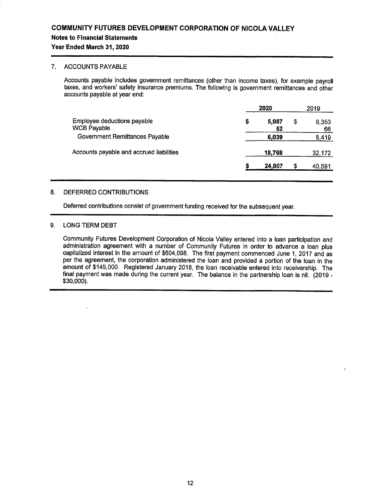# Notes to Financial Statements

Year Ended March 31, 2020

# 7. ACCOUNTS PAYABLE

Accounts payable includes government remittances (other than income taxes), for example payroll taxes, and workers' safety insurance premiums. The following is government remittances and other accounts payable at year end:

|                                                   | 2020              |   | 2019        |
|---------------------------------------------------|-------------------|---|-------------|
| Employee deductions payable<br><b>WCB Payable</b> | \$<br>5.987<br>52 | S | 8,353<br>66 |
| <b>Government Remittances Payable</b>             | 6,039             |   | 8,419       |
| Accounts payable and accrued liabilities          | 18,768            |   | 32,172      |
|                                                   | 24,807            | S | 40,591      |

# 8. DEFERRED CONTRIBUTIONS

Deferred contributions consist of government funding received for the subsequent year.

# 9. LONG TERM DEBT

Community Futures Development Corporation of Nicola Valley entered into a loan participation and administration agreement with a number of Community Futures in order to advance a loan plus capitalized interest in the amount of \$604,098. The first payment commenced June 1, 2017 and as per the agreement, the corporation administered the loan and provided a portion of the loan in the amount of \$145,000. Registered January 2018, the loan receivable entered into receivership. The final payment was made during the current year. The balance in the partnership loan is nil. (2019 -\$30,000).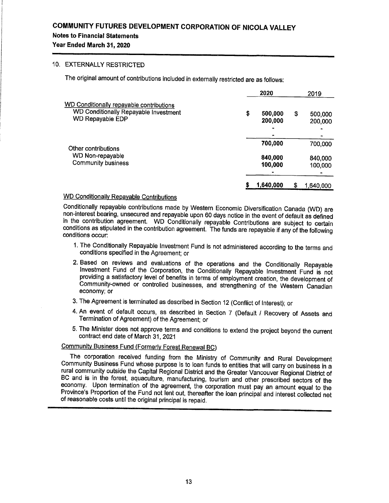# Notes to Financial Statements

Year Ended March 31, 2020

# 10. EXTERNALLY RESTRICTED

The original amount of contributions included in externally restricted are as follows:

|                                                                                                                     | 2020                     | 2019                     |
|---------------------------------------------------------------------------------------------------------------------|--------------------------|--------------------------|
| <b>WD Conditionally repayable contributions</b><br>WD Conditionally Repayable Investment<br><b>WD Repayable EDP</b> | \$<br>500,000<br>200,000 | \$<br>500,000<br>200,000 |
| Other contributions                                                                                                 | 700,000                  | 700,000                  |
| WD Non-repayable<br><b>Community business</b>                                                                       | 840,000<br>100,000       | 840,000<br>100,000       |
|                                                                                                                     | 1,640,000                | \$<br>1,640,000          |

# WD Conditionally Repayable Contributions

Conditionally repayable contributions made by Western Economic Diversification Canada (WD) are non-interest bearing, unsecured and repayable upon <sup>60</sup> days notice in the event of default as defined in the contribution agreement. WD Conditionally repayable Contributions are subject to certain conditions as stipulated in the contribution agreement. The funds are repayable if any of the following conditions occur:

- 1. The Conditionally Repayable Investment Fund is not administered according to the terms and conditions specified in the Agreement; or
- 2. Based on reviews and evaluations of the operations and the Conditionally Repayable Investment Fund of the Corporation, the Conditionally Repayable Investment Fund is not providing <sup>a</sup> satisfactory level of benefits in terms of employment creation, the development of Community-owned or controlled businesses, and strengthening of the Western Canadian economy; or
- 3. The Agreement is terminated as described in Section <sup>42</sup> (Conflict of Interest); or
- 4. An event of default occurs, as described in Section <sup>7</sup> (Default / Recovery of Assets and Termination of Agreement) of the Agreement; or
- 5. The Minister does not approve terms and conditions to extend the project beyond the current contract end date of March 31 2021

# Community Business Fund (Formerly Forest Renewal BC)

The corporation received funding from the Ministry of Community and Rural Development Community Business Fund whose purpose is to loan funds to entities that will carry on business in <sup>a</sup> rural community outside the Capital Regional District and the Greater Vancouver Regional District of BC and is in the forest, aquaculture, manufacturing, tourism and other prescribed sectors of the economy. Upon termination of the agreement, the corporation must pay an amount equal to the Province's Proportion of the Fund not lent out, thereafter the loan principal and interest collected net of reasonable costs until the original principal is repaid.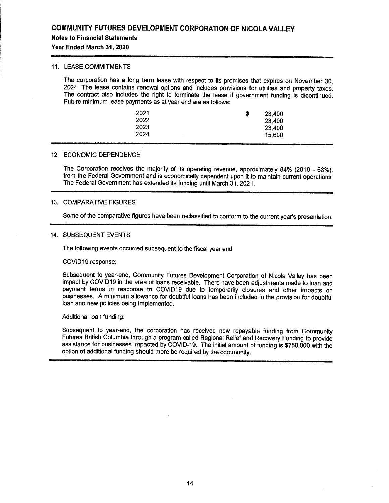# Notes to Financial Statements

#### Year Ended March 31, 2020

#### 11. LEASE COMMITMENTS

The corporation has a long term lease with respect to its premises that expires on November 30, 2024. The lease contains renewal options and includes provisions for utilities and property taxes. The contract also includes the right to terminate the lease if government funding is dicontinued. Future minimum lease payments as at year end are as follows:

| 2021 | £ | 23,400 |
|------|---|--------|
| 2022 |   | 23,400 |
| 2023 |   | 23,400 |
| 2024 |   | 15,600 |

#### 12. ECONOMIC DEPENDENCE

The Corporation receives the majority of its operating revenue, approximately 84% (2019 - 63%), from the Federal Government and is economically dependent upon it to maintain current operations. The Federal Government has extended its funding until March 31, 2021.

#### 13. COMPARATIVE FIGURES

Some of the comparative figures have been reclassified to conform to the current year's presentation.

#### 14. SUBSEQUENT EVENTS

The following events occurred subsequent to the fiscal year end:

#### COVID19 response:

Subsequent to year-end, Community Futures Development Corporation of Nicola Valley has been impact by COV1D19 in the area of loans receivable. There have been adjustments made to loan and payment terms in response to COV1D19 due to temporarily closures and other impacts on businesses. A minimum allowance for doubtful loans has been included in the provision for doubtful loan and new policies being implemented.

#### Additional loan funding:

Subsequent to year-end, the corporation has received new repayable funding from Community Futures British Columbia through a program called Regional Relief and Recovery Funding to provide assistance for businesses impacted by COVID-19. The initial amount of funding is \$750,000 with the option of additional funding should more be required by the community.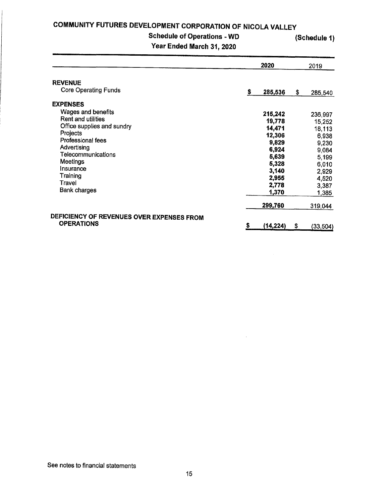# Schedule of Operations - WD (Schedule 1)

Year Ended March 31, 2020

|  | (Schedule 1) |
|--|--------------|
|--|--------------|

|                                           | 2020            | 2019            |
|-------------------------------------------|-----------------|-----------------|
| <b>REVENUE</b>                            |                 |                 |
| <b>Core Operating Funds</b>               | \$<br>285,536   | \$<br>285,540   |
| <b>EXPENSES</b>                           |                 |                 |
| Wages and benefits                        | 215,242         | 236,997         |
| Rent and utilities                        | 19,778          | 15,252          |
| Office supplies and sundry                | 14,471          | 18,113          |
| Projects                                  | 12,306          | 6,938           |
| <b>Professional fees</b>                  | 9,829           | 9,230           |
| Advertising                               | 6,924           | 9,084           |
| Telecommunications                        | 5,639           | 5,199           |
| <b>Meetings</b>                           | 5,328           | 6,010           |
| Insurance                                 | 3,140           | 2,929           |
| Training                                  | 2,955           | 4,520           |
| Travel                                    | 2,778           | 3,387           |
| <b>Bank charges</b>                       | 1,370           | 1,385           |
|                                           | 299,760         | 319,044         |
| DEFICIENCY OF REVENUES OVER EXPENSES FROM |                 |                 |
| <b>OPERATIONS</b>                         | \$<br>(14, 224) | \$<br>(33, 504) |